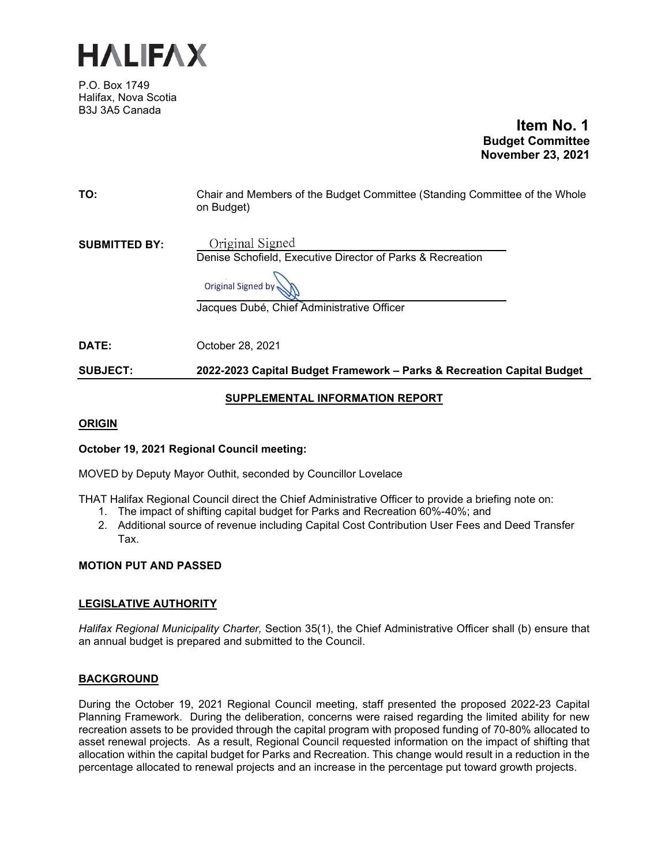

P.O. Box 1749 Halifax, Nova Scotia B3J 3A5 Canada

 **Item No. 1 Budget Committee November 23, 2021**

| TO:                  | Chair and Members of the Budget Committee (Standing Committee of the Whole<br>on Budget)                                                          |
|----------------------|---------------------------------------------------------------------------------------------------------------------------------------------------|
| <b>SUBMITTED BY:</b> | Original Signed<br>Denise Schofield, Executive Director of Parks & Recreation<br>Original Signed by<br>Jacques Dubé, Chief Administrative Officer |
| DATE:                | October 28, 2021                                                                                                                                  |
| <b>SUBJECT:</b>      | 2022-2023 Capital Budget Framework - Parks & Recreation Capital Budget                                                                            |
|                      |                                                                                                                                                   |

## **SUPPLEMENTAL INFORMATION REPORT**

## **ORIGIN**

# **October 19, 2021 Regional Council meeting:**

MOVED by Deputy Mayor Outhit, seconded by Councillor Lovelace

THAT Halifax Regional Council direct the Chief Administrative Officer to provide a briefing note on:

- 1. The impact of shifting capital budget for Parks and Recreation 60%-40%; and
- 2. Additional source of revenue including Capital Cost Contribution User Fees and Deed Transfer Tax.

# **MOTION PUT AND PASSED**

# **LEGISLATIVE AUTHORITY**

*Halifax Regional Municipality Charter,* Section 35(1), the Chief Administrative Officer shall (b) ensure that an annual budget is prepared and submitted to the Council.

# **BACKGROUND**

During the October 19, 2021 Regional Council meeting, staff presented the proposed 2022-23 Capital Planning Framework. During the deliberation, concerns were raised regarding the limited ability for new recreation assets to be provided through the capital program with proposed funding of 70-80% allocated to asset renewal projects. As a result, Regional Council requested information on the impact of shifting that allocation within the capital budget for Parks and Recreation. This change would result in a reduction in the percentage allocated to renewal projects and an increase in the percentage put toward growth projects.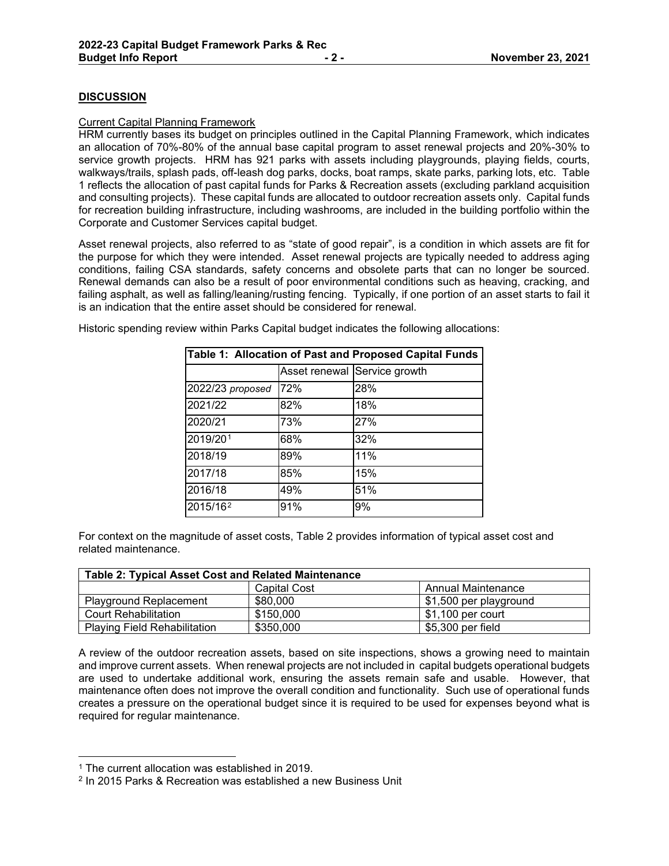## **DISCUSSION**

#### Current Capital Planning Framework

HRM currently bases its budget on principles outlined in the Capital Planning Framework, which indicates an allocation of 70%-80% of the annual base capital program to asset renewal projects and 20%-30% to service growth projects. HRM has 921 parks with assets including playgrounds, playing fields, courts, walkways/trails, splash pads, off-leash dog parks, docks, boat ramps, skate parks, parking lots, etc. Table 1 reflects the allocation of past capital funds for Parks & Recreation assets (excluding parkland acquisition and consulting projects). These capital funds are allocated to outdoor recreation assets only. Capital funds for recreation building infrastructure, including washrooms, are included in the building portfolio within the Corporate and Customer Services capital budget.

Asset renewal projects, also referred to as "state of good repair", is a condition in which assets are fit for the purpose for which they were intended. Asset renewal projects are typically needed to address aging conditions, failing CSA standards, safety concerns and obsolete parts that can no longer be sourced. Renewal demands can also be a result of poor environmental conditions such as heaving, cracking, and failing asphalt, as well as falling/leaning/rusting fencing. Typically, if one portion of an asset starts to fail it is an indication that the entire asset should be considered for renewal.

|  |  | Historic spending review within Parks Capital budget indicates the following allocations: |  |
|--|--|-------------------------------------------------------------------------------------------|--|
|  |  |                                                                                           |  |

| Table 1: Allocation of Past and Proposed Capital Funds |     |                              |  |  |
|--------------------------------------------------------|-----|------------------------------|--|--|
|                                                        |     | Asset renewal Service growth |  |  |
| 2022/23 proposed                                       | 72% | 28%                          |  |  |
| 2021/22                                                | 82% | 18%                          |  |  |
| 2020/21                                                | 73% | 27%                          |  |  |
| 2019/201                                               | 68% | 32%                          |  |  |
| 2018/19                                                | 89% | 11%                          |  |  |
| 2017/18                                                | 85% | 15%                          |  |  |
| 2016/18                                                | 49% | 51%                          |  |  |
| 2015/16 <sup>2</sup>                                   | 91% | 9%                           |  |  |

For context on the magnitude of asset costs, Table 2 provides information of typical asset cost and related maintenance.

| <b>Table 2: Typical Asset Cost and Related Maintenance</b> |              |                        |  |  |
|------------------------------------------------------------|--------------|------------------------|--|--|
|                                                            | Capital Cost | Annual Maintenance     |  |  |
| <b>Playground Replacement</b>                              | \$80,000     | \$1,500 per playground |  |  |
| <b>Court Rehabilitation</b>                                | \$150,000    | $$1,100$ per court     |  |  |
| <b>Playing Field Rehabilitation</b>                        | \$350,000    | \$5,300 per field      |  |  |

A review of the outdoor recreation assets, based on site inspections, shows a growing need to maintain and improve current assets. When renewal projects are not included in capital budgets operational budgets are used to undertake additional work, ensuring the assets remain safe and usable. However, that maintenance often does not improve the overall condition and functionality. Such use of operational funds creates a pressure on the operational budget since it is required to be used for expenses beyond what is required for regular maintenance.

<span id="page-1-0"></span><sup>1</sup> The current allocation was established in 2019.

<span id="page-1-1"></span><sup>2</sup> In 2015 Parks & Recreation was established a new Business Unit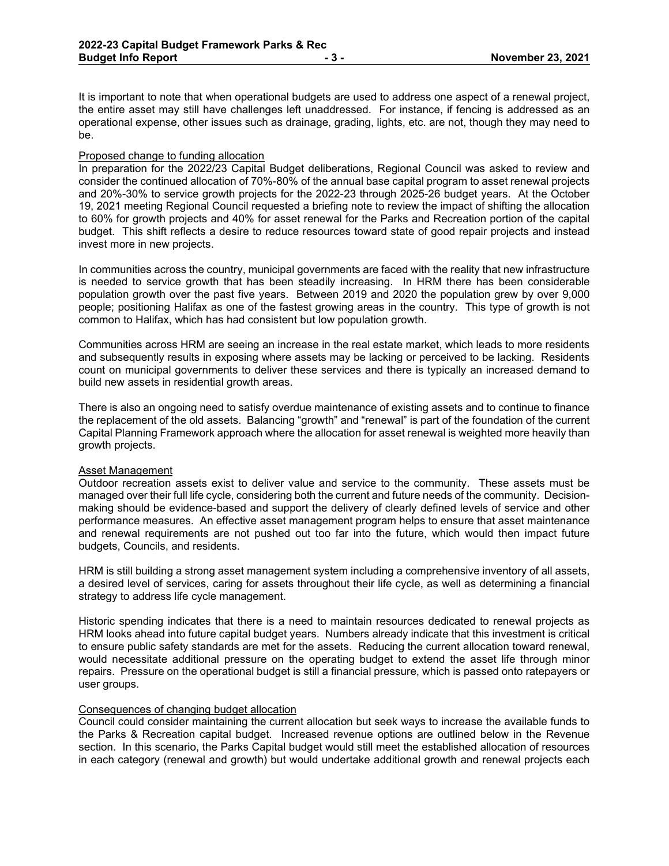It is important to note that when operational budgets are used to address one aspect of a renewal project, the entire asset may still have challenges left unaddressed. For instance, if fencing is addressed as an operational expense, other issues such as drainage, grading, lights, etc. are not, though they may need to be.

### Proposed change to funding allocation

In preparation for the 2022/23 Capital Budget deliberations, Regional Council was asked to review and consider the continued allocation of 70%-80% of the annual base capital program to asset renewal projects and 20%-30% to service growth projects for the 2022-23 through 2025-26 budget years. At the October 19, 2021 meeting Regional Council requested a briefing note to review the impact of shifting the allocation to 60% for growth projects and 40% for asset renewal for the Parks and Recreation portion of the capital budget. This shift reflects a desire to reduce resources toward state of good repair projects and instead invest more in new projects.

In communities across the country, municipal governments are faced with the reality that new infrastructure is needed to service growth that has been steadily increasing. In HRM there has been considerable population growth over the past five years. Between 2019 and 2020 the population grew by over 9,000 people; positioning Halifax as one of the fastest growing areas in the country. This type of growth is not common to Halifax, which has had consistent but low population growth.

Communities across HRM are seeing an increase in the real estate market, which leads to more residents and subsequently results in exposing where assets may be lacking or perceived to be lacking. Residents count on municipal governments to deliver these services and there is typically an increased demand to build new assets in residential growth areas.

There is also an ongoing need to satisfy overdue maintenance of existing assets and to continue to finance the replacement of the old assets. Balancing "growth" and "renewal" is part of the foundation of the current Capital Planning Framework approach where the allocation for asset renewal is weighted more heavily than growth projects.

### Asset Management

Outdoor recreation assets exist to deliver value and service to the community. These assets must be managed over their full life cycle, considering both the current and future needs of the community. Decisionmaking should be evidence-based and support the delivery of clearly defined levels of service and other performance measures. An effective asset management program helps to ensure that asset maintenance and renewal requirements are not pushed out too far into the future, which would then impact future budgets, Councils, and residents.

HRM is still building a strong asset management system including a comprehensive inventory of all assets, a desired level of services, caring for assets throughout their life cycle, as well as determining a financial strategy to address life cycle management.

Historic spending indicates that there is a need to maintain resources dedicated to renewal projects as HRM looks ahead into future capital budget years. Numbers already indicate that this investment is critical to ensure public safety standards are met for the assets. Reducing the current allocation toward renewal, would necessitate additional pressure on the operating budget to extend the asset life through minor repairs. Pressure on the operational budget is still a financial pressure, which is passed onto ratepayers or user groups.

## Consequences of changing budget allocation

Council could consider maintaining the current allocation but seek ways to increase the available funds to the Parks & Recreation capital budget. Increased revenue options are outlined below in the Revenue section. In this scenario, the Parks Capital budget would still meet the established allocation of resources in each category (renewal and growth) but would undertake additional growth and renewal projects each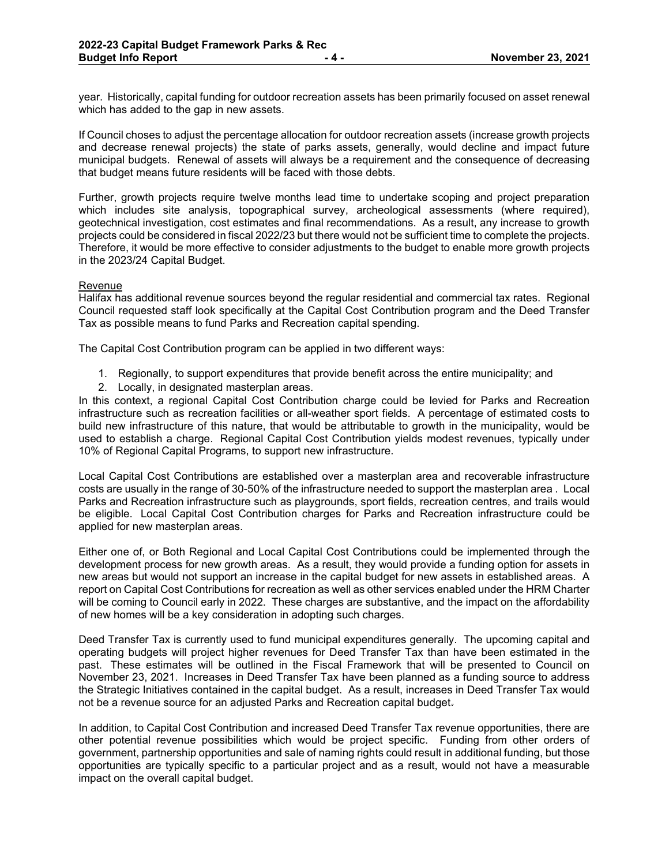year. Historically, capital funding for outdoor recreation assets has been primarily focused on asset renewal which has added to the gap in new assets.

If Council choses to adjust the percentage allocation for outdoor recreation assets (increase growth projects and decrease renewal projects) the state of parks assets, generally, would decline and impact future municipal budgets. Renewal of assets will always be a requirement and the consequence of decreasing that budget means future residents will be faced with those debts.

Further, growth projects require twelve months lead time to undertake scoping and project preparation which includes site analysis, topographical survey, archeological assessments (where required), geotechnical investigation, cost estimates and final recommendations. As a result, any increase to growth projects could be considered in fiscal 2022/23 but there would not be sufficient time to complete the projects. Therefore, it would be more effective to consider adjustments to the budget to enable more growth projects in the 2023/24 Capital Budget.

#### Revenue

Halifax has additional revenue sources beyond the regular residential and commercial tax rates. Regional Council requested staff look specifically at the Capital Cost Contribution program and the Deed Transfer Tax as possible means to fund Parks and Recreation capital spending.

The Capital Cost Contribution program can be applied in two different ways:

- 1. Regionally, to support expenditures that provide benefit across the entire municipality; and
- 2. Locally, in designated masterplan areas.

In this context, a regional Capital Cost Contribution charge could be levied for Parks and Recreation infrastructure such as recreation facilities or all-weather sport fields. A percentage of estimated costs to build new infrastructure of this nature, that would be attributable to growth in the municipality, would be used to establish a charge. Regional Capital Cost Contribution yields modest revenues, typically under 10% of Regional Capital Programs, to support new infrastructure.

Local Capital Cost Contributions are established over a masterplan area and recoverable infrastructure costs are usually in the range of 30-50% of the infrastructure needed to support the masterplan area . Local Parks and Recreation infrastructure such as playgrounds, sport fields, recreation centres, and trails would be eligible. Local Capital Cost Contribution charges for Parks and Recreation infrastructure could be applied for new masterplan areas.

Either one of, or Both Regional and Local Capital Cost Contributions could be implemented through the development process for new growth areas. As a result, they would provide a funding option for assets in new areas but would not support an increase in the capital budget for new assets in established areas. A report on Capital Cost Contributions for recreation as well as other services enabled under the HRM Charter will be coming to Council early in 2022. These charges are substantive, and the impact on the affordability of new homes will be a key consideration in adopting such charges.

Deed Transfer Tax is currently used to fund municipal expenditures generally. The upcoming capital and operating budgets will project higher revenues for Deed Transfer Tax than have been estimated in the past. These estimates will be outlined in the Fiscal Framework that will be presented to Council on November 23, 2021. Increases in Deed Transfer Tax have been planned as a funding source to address the Strategic Initiatives contained in the capital budget. As a result, increases in Deed Transfer Tax would not be a revenue source for an adjusted Parks and Recreation capital budget.

In addition, to Capital Cost Contribution and increased Deed Transfer Tax revenue opportunities, there are other potential revenue possibilities which would be project specific. Funding from other orders of government, partnership opportunities and sale of naming rights could result in additional funding, but those opportunities are typically specific to a particular project and as a result, would not have a measurable impact on the overall capital budget.